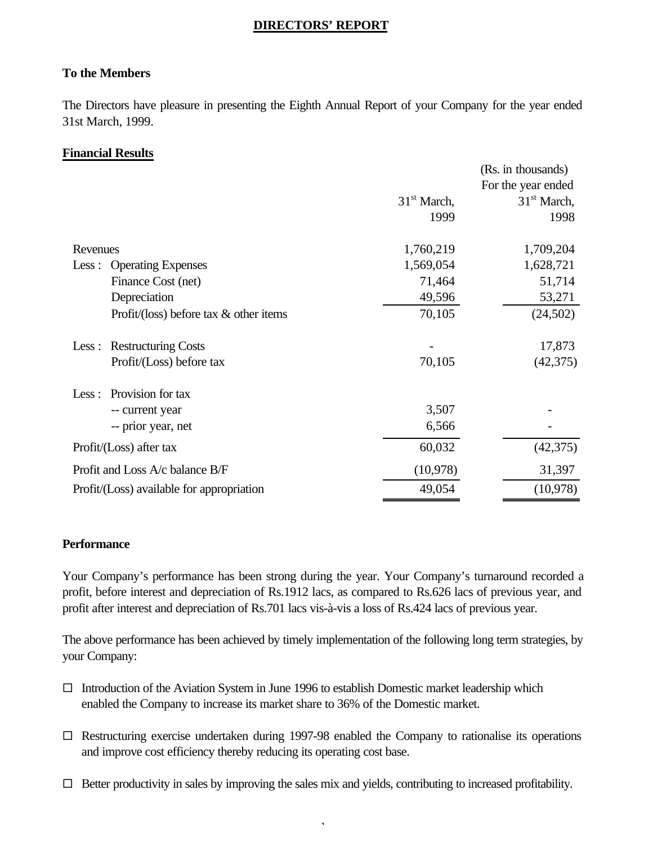## **DIRECTORS' REPORT**

## **To the Members**

The Directors have pleasure in presenting the Eighth Annual Report of your Company for the year ended 31st March, 1999.

## **Financial Results**

|                                           |               | (Rs. in thousands) |
|-------------------------------------------|---------------|--------------------|
|                                           |               | For the year ended |
|                                           | $31st$ March, | $31st$ March,      |
|                                           | 1999          | 1998               |
| Revenues                                  | 1,760,219     | 1,709,204          |
| <b>Operating Expenses</b><br>Less:        | 1,569,054     | 1,628,721          |
| Finance Cost (net)                        | 71,464        | 51,714             |
| Depreciation                              | 49,596        | 53,271             |
| Profit/(loss) before tax $\&$ other items | 70,105        | (24,502)           |
| <b>Restructuring Costs</b><br>Less:       |               | 17,873             |
| Profit/(Loss) before tax                  | 70,105        | (42, 375)          |
| Provision for tax<br>Less:                |               |                    |
| -- current year                           | 3,507         |                    |
| -- prior year, net                        | 6,566         |                    |
| Profit/(Loss) after tax                   | 60,032        | (42,375)           |
| Profit and Loss A/c balance B/F           | (10,978)      | 31,397             |
| Profit/(Loss) available for appropriation | 49,054        | (10,978)           |

## **Performance**

Your Company's performance has been strong during the year. Your Company's turnaround recorded a profit, before interest and depreciation of Rs.1912 lacs, as compared to Rs.626 lacs of previous year, and profit after interest and depreciation of Rs.701 lacs vis-à-vis a loss of Rs.424 lacs of previous year.

The above performance has been achieved by timely implementation of the following long term strategies, by your Company:

- $\square$  Introduction of the Aviation System in June 1996 to establish Domestic market leadership which enabled the Company to increase its market share to 36% of the Domestic market.
- $\square$  Restructuring exercise undertaken during 1997-98 enabled the Company to rationalise its operations and improve cost efficiency thereby reducing its operating cost base.
- $\Box$  Better productivity in sales by improving the sales mix and yields, contributing to increased profitability.

- 1-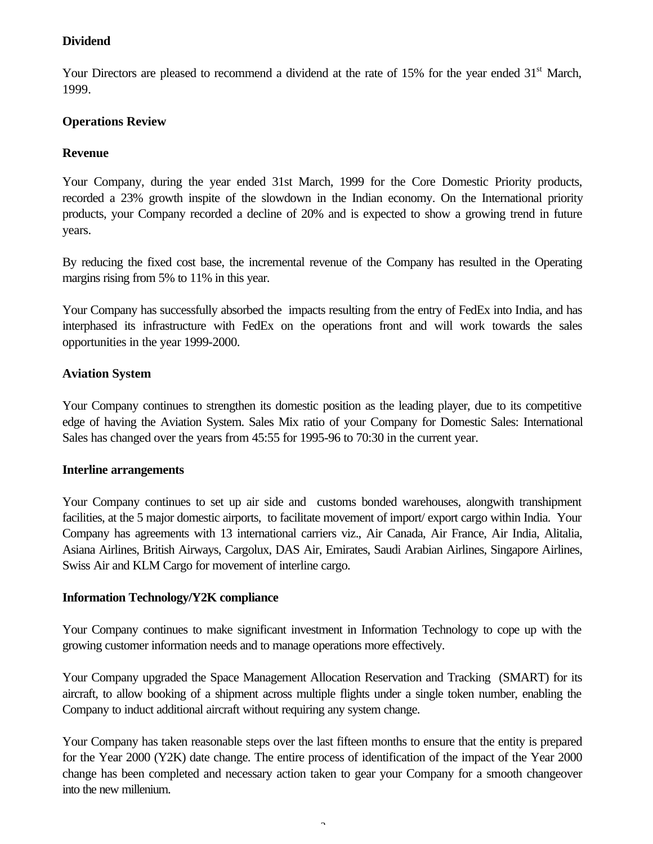## **Dividend**

Your Directors are pleased to recommend a dividend at the rate of 15% for the year ended 31<sup>st</sup> March, 1999.

## **Operations Review**

## **Revenue**

Your Company, during the year ended 31st March, 1999 for the Core Domestic Priority products, recorded a 23% growth inspite of the slowdown in the Indian economy. On the International priority products, your Company recorded a decline of 20% and is expected to show a growing trend in future years.

By reducing the fixed cost base, the incremental revenue of the Company has resulted in the Operating margins rising from 5% to 11% in this year.

Your Company has successfully absorbed the impacts resulting from the entry of FedEx into India, and has interphased its infrastructure with FedEx on the operations front and will work towards the sales opportunities in the year 1999-2000.

## **Aviation System**

Your Company continues to strengthen its domestic position as the leading player, due to its competitive edge of having the Aviation System. Sales Mix ratio of your Company for Domestic Sales: International Sales has changed over the years from 45:55 for 1995-96 to 70:30 in the current year.

## **Interline arrangements**

Your Company continues to set up air side and customs bonded warehouses, alongwith transhipment facilities, at the 5 major domestic airports, to facilitate movement of import/ export cargo within India. Your Company has agreements with 13 international carriers viz., Air Canada, Air France, Air India, Alitalia, Asiana Airlines, British Airways, Cargolux, DAS Air, Emirates, Saudi Arabian Airlines, Singapore Airlines, Swiss Air and KLM Cargo for movement of interline cargo.

## **Information Technology/Y2K compliance**

Your Company continues to make significant investment in Information Technology to cope up with the growing customer information needs and to manage operations more effectively.

Your Company upgraded the Space Management Allocation Reservation and Tracking (SMART) for its aircraft, to allow booking of a shipment across multiple flights under a single token number, enabling the Company to induct additional aircraft without requiring any system change.

Your Company has taken reasonable steps over the last fifteen months to ensure that the entity is prepared for the Year 2000 (Y2K) date change. The entire process of identification of the impact of the Year 2000 change has been completed and necessary action taken to gear your Company for a smooth changeover into the new millenium.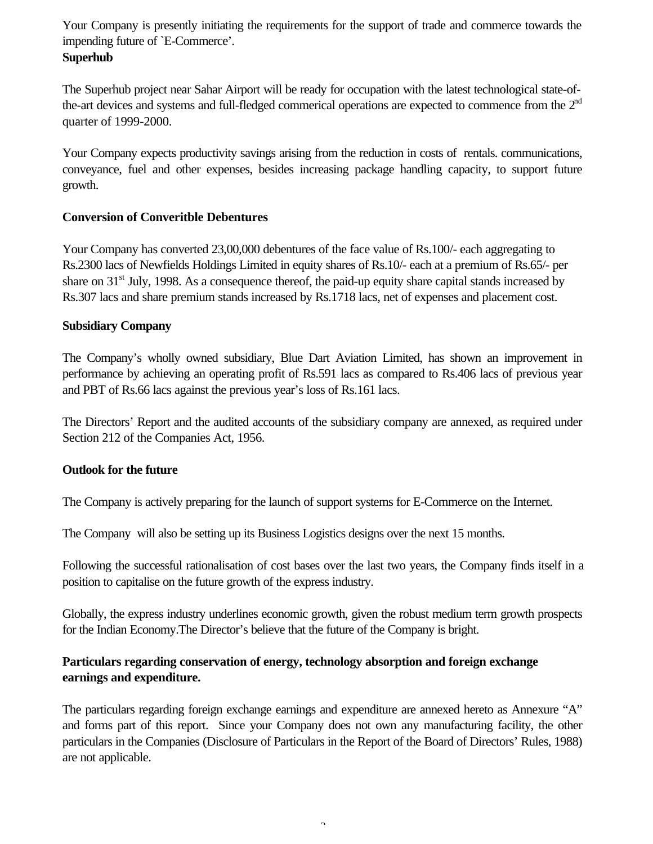Your Company is presently initiating the requirements for the support of trade and commerce towards the impending future of `E-Commerce'.

## **Superhub**

The Superhub project near Sahar Airport will be ready for occupation with the latest technological state-ofthe-art devices and systems and full-fledged commerical operations are expected to commence from the 2<sup>nd</sup> quarter of 1999-2000.

Your Company expects productivity savings arising from the reduction in costs of rentals. communications, conveyance, fuel and other expenses, besides increasing package handling capacity, to support future growth.

## **Conversion of Converitble Debentures**

Your Company has converted 23,00,000 debentures of the face value of Rs.100/- each aggregating to Rs.2300 lacs of Newfields Holdings Limited in equity shares of Rs.10/- each at a premium of Rs.65/- per share on 31<sup>st</sup> July, 1998. As a consequence thereof, the paid-up equity share capital stands increased by Rs.307 lacs and share premium stands increased by Rs.1718 lacs, net of expenses and placement cost.

## **Subsidiary Company**

The Company's wholly owned subsidiary, Blue Dart Aviation Limited, has shown an improvement in performance by achieving an operating profit of Rs.591 lacs as compared to Rs.406 lacs of previous year and PBT of Rs.66 lacs against the previous year's loss of Rs.161 lacs.

The Directors' Report and the audited accounts of the subsidiary company are annexed, as required under Section 212 of the Companies Act, 1956.

## **Outlook for the future**

The Company is actively preparing for the launch of support systems for E-Commerce on the Internet.

The Company will also be setting up its Business Logistics designs over the next 15 months.

Following the successful rationalisation of cost bases over the last two years, the Company finds itself in a position to capitalise on the future growth of the express industry.

Globally, the express industry underlines economic growth, given the robust medium term growth prospects for the Indian Economy.The Director's believe that the future of the Company is bright.

## **Particulars regarding conservation of energy, technology absorption and foreign exchange earnings and expenditure.**

The particulars regarding foreign exchange earnings and expenditure are annexed hereto as Annexure "A" and forms part of this report. Since your Company does not own any manufacturing facility, the other particulars in the Companies (Disclosure of Particulars in the Report of the Board of Directors' Rules, 1988) are not applicable.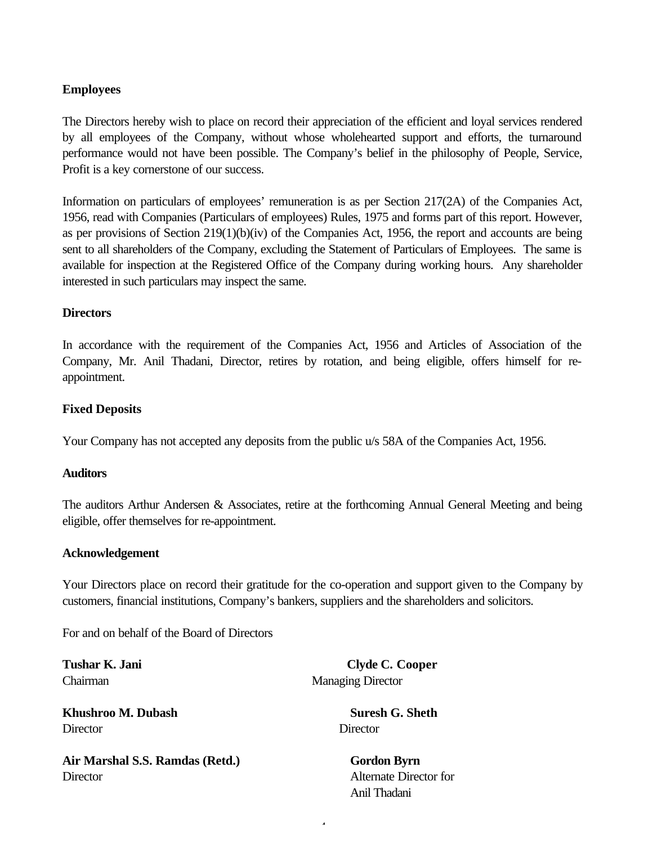## **Employees**

The Directors hereby wish to place on record their appreciation of the efficient and loyal services rendered by all employees of the Company, without whose wholehearted support and efforts, the turnaround performance would not have been possible. The Company's belief in the philosophy of People, Service, Profit is a key cornerstone of our success.

Information on particulars of employees' remuneration is as per Section 217(2A) of the Companies Act, 1956, read with Companies (Particulars of employees) Rules, 1975 and forms part of this report. However, as per provisions of Section 219(1)(b)(iv) of the Companies Act, 1956, the report and accounts are being sent to all shareholders of the Company, excluding the Statement of Particulars of Employees. The same is available for inspection at the Registered Office of the Company during working hours. Any shareholder interested in such particulars may inspect the same.

## **Directors**

In accordance with the requirement of the Companies Act, 1956 and Articles of Association of the Company, Mr. Anil Thadani, Director, retires by rotation, and being eligible, offers himself for reappointment.

## **Fixed Deposits**

Your Company has not accepted any deposits from the public u/s 58A of the Companies Act, 1956.

## **Auditors**

The auditors Arthur Andersen & Associates, retire at the forthcoming Annual General Meeting and being eligible, offer themselves for re-appointment.

## **Acknowledgement**

Your Directors place on record their gratitude for the co-operation and support given to the Company by customers, financial institutions, Company's bankers, suppliers and the shareholders and solicitors.

 $\overline{4}$ 

For and on behalf of the Board of Directors

**Khushroo M. Dubash Suresh G. Sheth** Director Director Director

Air Marshal S.S. Ramdas (Retd.) **Gordon Byrn** Director Alternate Director for

**Tushar K. Jani Clyde C. Cooper** Chairman Managing Director

Anil Thadani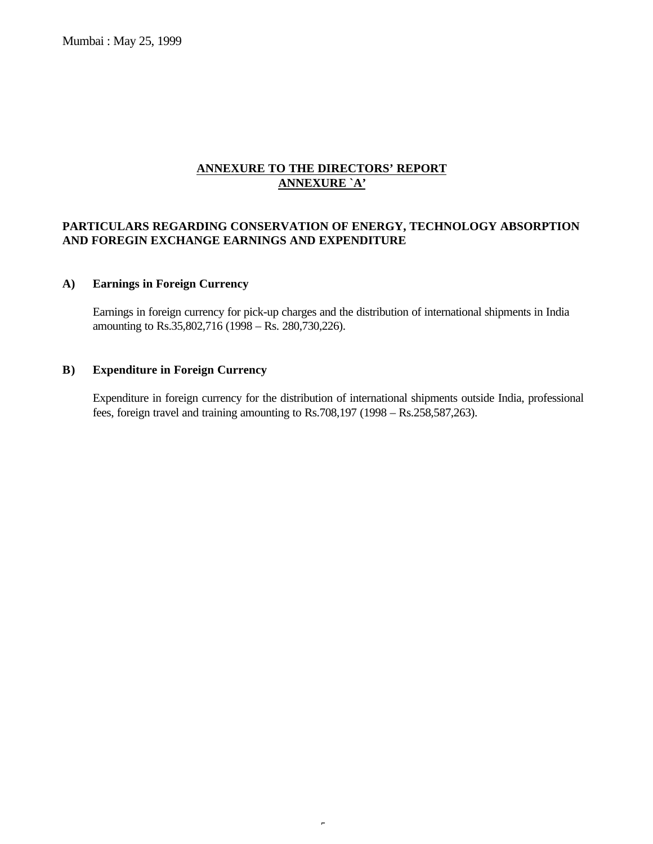Mumbai : May 25, 1999

## **ANNEXURE TO THE DIRECTORS' REPORT ANNEXURE `A'**

### **PARTICULARS REGARDING CONSERVATION OF ENERGY, TECHNOLOGY ABSORPTION AND FOREGIN EXCHANGE EARNINGS AND EXPENDITURE**

### **A) Earnings in Foreign Currency**

Earnings in foreign currency for pick-up charges and the distribution of international shipments in India amounting to Rs.35,802,716 (1998 – Rs. 280,730,226).

#### **B) Expenditure in Foreign Currency**

Expenditure in foreign currency for the distribution of international shipments outside India, professional fees, foreign travel and training amounting to Rs.708,197 (1998 – Rs.258,587,263).

 $\epsilon$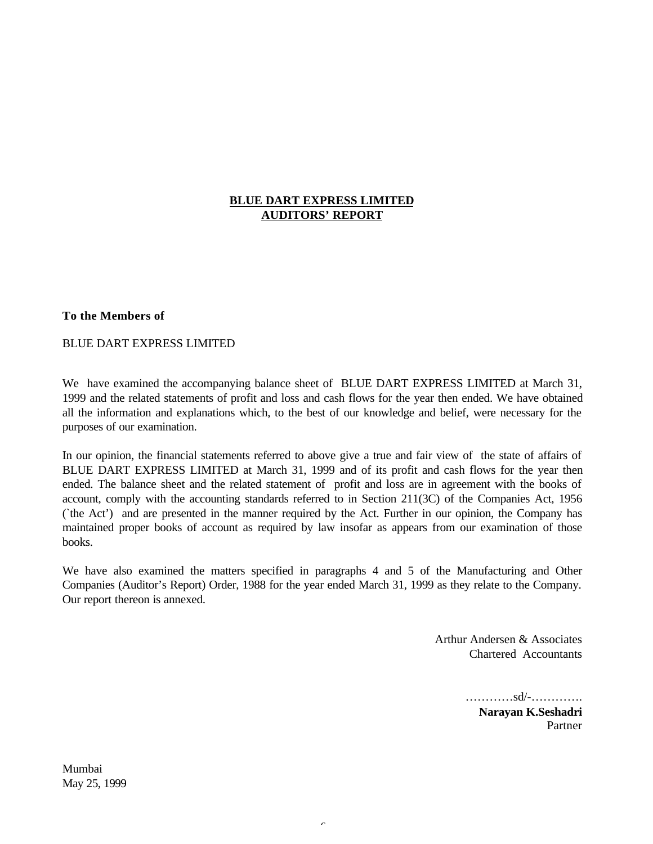### **BLUE DART EXPRESS LIMITED AUDITORS' REPORT**

### **To the Members of**

#### BLUE DART EXPRESS LIMITED

We have examined the accompanying balance sheet of BLUE DART EXPRESS LIMITED at March 31, 1999 and the related statements of profit and loss and cash flows for the year then ended. We have obtained all the information and explanations which, to the best of our knowledge and belief, were necessary for the purposes of our examination.

In our opinion, the financial statements referred to above give a true and fair view of the state of affairs of BLUE DART EXPRESS LIMITED at March 31, 1999 and of its profit and cash flows for the year then ended. The balance sheet and the related statement of profit and loss are in agreement with the books of account, comply with the accounting standards referred to in Section 211(3C) of the Companies Act, 1956 (`the Act') and are presented in the manner required by the Act. Further in our opinion, the Company has maintained proper books of account as required by law insofar as appears from our examination of those books.

We have also examined the matters specified in paragraphs 4 and 5 of the Manufacturing and Other Companies (Auditor's Report) Order, 1988 for the year ended March 31, 1999 as they relate to the Company. Our report thereon is annexed.

 $\overline{\phantom{a}}$ 

Arthur Andersen & Associates Chartered Accountants

> …………sd/-…………. **Narayan K.Seshadri** Partner

Mumbai May 25, 1999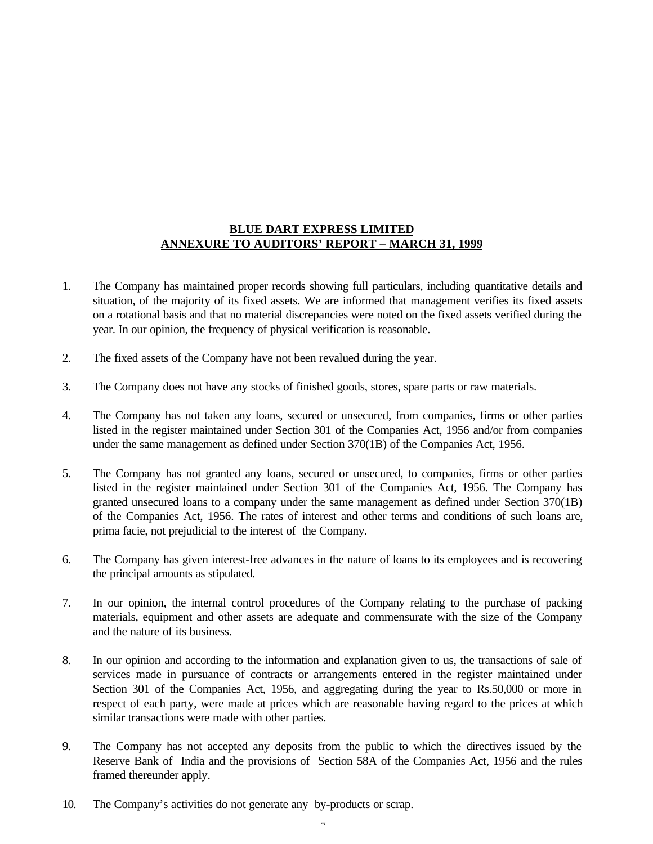### **BLUE DART EXPRESS LIMITED ANNEXURE TO AUDITORS' REPORT – MARCH 31, 1999**

- 1. The Company has maintained proper records showing full particulars, including quantitative details and situation, of the majority of its fixed assets. We are informed that management verifies its fixed assets on a rotational basis and that no material discrepancies were noted on the fixed assets verified during the year. In our opinion, the frequency of physical verification is reasonable.
- 2. The fixed assets of the Company have not been revalued during the year.
- 3. The Company does not have any stocks of finished goods, stores, spare parts or raw materials.
- 4. The Company has not taken any loans, secured or unsecured, from companies, firms or other parties listed in the register maintained under Section 301 of the Companies Act, 1956 and/or from companies under the same management as defined under Section 370(1B) of the Companies Act, 1956.
- 5. The Company has not granted any loans, secured or unsecured, to companies, firms or other parties listed in the register maintained under Section 301 of the Companies Act, 1956. The Company has granted unsecured loans to a company under the same management as defined under Section 370(1B) of the Companies Act, 1956. The rates of interest and other terms and conditions of such loans are, prima facie, not prejudicial to the interest of the Company.
- 6. The Company has given interest-free advances in the nature of loans to its employees and is recovering the principal amounts as stipulated.
- 7. In our opinion, the internal control procedures of the Company relating to the purchase of packing materials, equipment and other assets are adequate and commensurate with the size of the Company and the nature of its business.
- 8. In our opinion and according to the information and explanation given to us, the transactions of sale of services made in pursuance of contracts or arrangements entered in the register maintained under Section 301 of the Companies Act, 1956, and aggregating during the year to Rs.50,000 or more in respect of each party, were made at prices which are reasonable having regard to the prices at which similar transactions were made with other parties.
- 9. The Company has not accepted any deposits from the public to which the directives issued by the Reserve Bank of India and the provisions of Section 58A of the Companies Act, 1956 and the rules framed thereunder apply.
- 10. The Company's activities do not generate any by-products or scrap.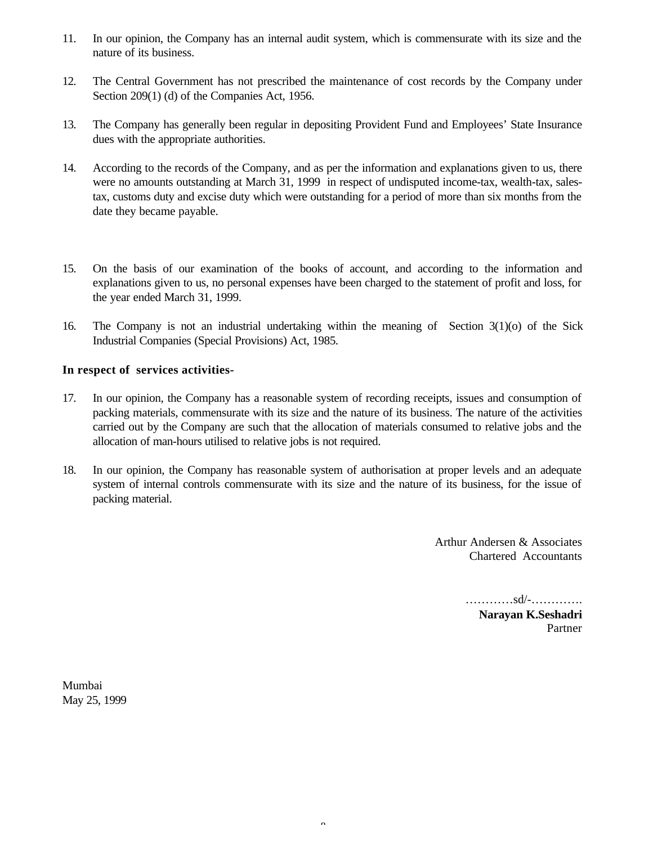- 11. In our opinion, the Company has an internal audit system, which is commensurate with its size and the nature of its business.
- 12. The Central Government has not prescribed the maintenance of cost records by the Company under Section 209(1) (d) of the Companies Act, 1956.
- 13. The Company has generally been regular in depositing Provident Fund and Employees' State Insurance dues with the appropriate authorities.
- 14. According to the records of the Company, and as per the information and explanations given to us, there were no amounts outstanding at March 31, 1999 in respect of undisputed income-tax, wealth-tax, salestax, customs duty and excise duty which were outstanding for a period of more than six months from the date they became payable.
- 15. On the basis of our examination of the books of account, and according to the information and explanations given to us, no personal expenses have been charged to the statement of profit and loss, for the year ended March 31, 1999.
- 16. The Company is not an industrial undertaking within the meaning of Section 3(1)(o) of the Sick Industrial Companies (Special Provisions) Act, 1985.

### **In respect of services activities-**

- 17. In our opinion, the Company has a reasonable system of recording receipts, issues and consumption of packing materials, commensurate with its size and the nature of its business. The nature of the activities carried out by the Company are such that the allocation of materials consumed to relative jobs and the allocation of man-hours utilised to relative jobs is not required.
- 18. In our opinion, the Company has reasonable system of authorisation at proper levels and an adequate system of internal controls commensurate with its size and the nature of its business, for the issue of packing material.

Arthur Andersen & Associates Chartered Accountants

…………sd/-………….

**Narayan K.Seshadri** Partner

Mumbai May 25, 1999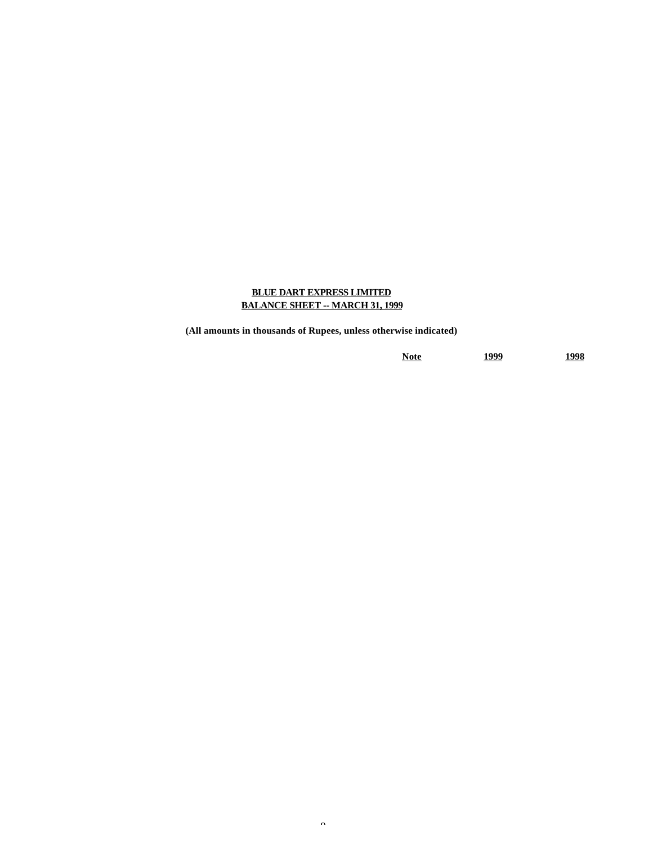### **BLUE DART EXPRESS LIMITED BALANCE SHEET -- MARCH 31, 1999**

**(All amounts in thousands of Rupees, unless otherwise indicated)**

**Note 1999 1998**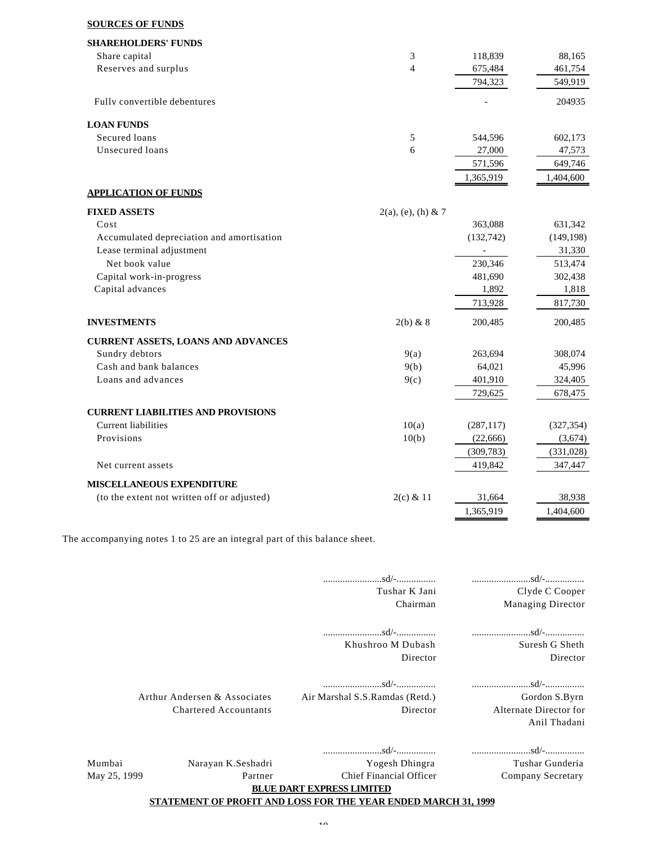#### **SOURCES OF FUNDS**

| <b>SHAREHOLDERS' FUNDS</b>                  |                       |                          |            |
|---------------------------------------------|-----------------------|--------------------------|------------|
| Share capital                               | 3                     | 118,839                  | 88,165     |
| Reserves and surplus                        | $\overline{4}$        | 675,484                  | 461,754    |
|                                             |                       | 794,323                  | 549,919    |
| Fully convertible debentures                |                       |                          | 204935     |
| <b>LOAN FUNDS</b>                           |                       |                          |            |
| Secured loans                               | 5                     | 544,596                  | 602,173    |
| Unsecured loans                             | 6                     | 27,000                   | 47,573     |
|                                             |                       | 571,596                  | 649,746    |
|                                             |                       | 1,365,919                | 1,404,600  |
| <b>APPLICATION OF FUNDS</b>                 |                       |                          |            |
| <b>FIXED ASSETS</b>                         | $2(a)$ , (e), (h) & 7 |                          |            |
| Cost                                        |                       | 363,088                  | 631,342    |
| Accumulated depreciation and amortisation   |                       | (132, 742)               | (149, 198) |
| Lease terminal adjustment                   |                       | $\overline{\phantom{a}}$ | 31,330     |
| Net book value                              |                       | 230,346                  | 513,474    |
| Capital work-in-progress                    |                       | 481,690                  | 302,438    |
| Capital advances                            |                       | 1,892                    | 1,818      |
|                                             |                       | 713,928                  | 817,730    |
| <b>INVESTMENTS</b>                          | $2(b)$ & 8            | 200,485                  | 200,485    |
| <b>CURRENT ASSETS, LOANS AND ADVANCES</b>   |                       |                          |            |
| Sundry debtors                              | 9(a)                  | 263,694                  | 308,074    |
| Cash and bank balances                      | 9(b)                  | 64,021                   | 45,996     |
| Loans and advances                          | 9(c)                  | 401,910                  | 324,405    |
|                                             |                       | 729,625                  | 678,475    |
| <b>CURRENT LIABILITIES AND PROVISIONS</b>   |                       |                          |            |
| <b>Current liabilities</b>                  | 10(a)                 | (287, 117)               | (327, 354) |
| Provisions                                  | 10(b)                 | (22, 666)                | (3,674)    |
|                                             |                       | (309, 783)               | (331, 028) |
| Net current assets                          |                       | 419,842                  | 347,447    |
| MISCELLANEOUS EXPENDITURE                   |                       |                          |            |
| (to the extent not written off or adjusted) | $2(c)$ & 11           | 31,664                   | 38,938     |
|                                             |                       | 1,365,919                | 1,404,600  |
|                                             |                       |                          |            |

The accompanying notes 1 to 25 are an integral part of this balance sheet.

|              |                              | Tushar K Jani                                                  | Clyde C Cooper                                                                                                                     |
|--------------|------------------------------|----------------------------------------------------------------|------------------------------------------------------------------------------------------------------------------------------------|
|              |                              | Chairman                                                       | Managing Director                                                                                                                  |
|              |                              |                                                                |                                                                                                                                    |
|              |                              | Khushroo M Dubash                                              | Suresh G Sheth                                                                                                                     |
|              |                              | Director                                                       | Director                                                                                                                           |
|              |                              | $\ldots \ldots \ldots \ldots \ldots \ldots$                    |                                                                                                                                    |
|              | Arthur Andersen & Associates | Air Marshal S.S.Ramdas (Retd.)                                 | Gordon S.Byrn                                                                                                                      |
|              | <b>Chartered Accountants</b> | Director                                                       | Alternate Director for                                                                                                             |
|              |                              |                                                                | Anil Thadani                                                                                                                       |
|              |                              |                                                                | $\dots\dots\dots\dots\dots\dots s d/- \dots\dots\dots\dots\dots \dots \dots \dots \dots \dots \dots s d/- \dots \dots \dots \dots$ |
| Mumbai       | Narayan K.Seshadri           | Yogesh Dhingra                                                 | Tushar Gunderia                                                                                                                    |
| May 25, 1999 | Partner                      | Chief Financial Officer                                        | Company Secretary                                                                                                                  |
|              |                              | <b>BLUE DART EXPRESS LIMITED</b>                               |                                                                                                                                    |
|              |                              | STATEMENT OF PROFIT AND LOSS FOR THE YEAR ENDED MARCH 31, 1999 |                                                                                                                                    |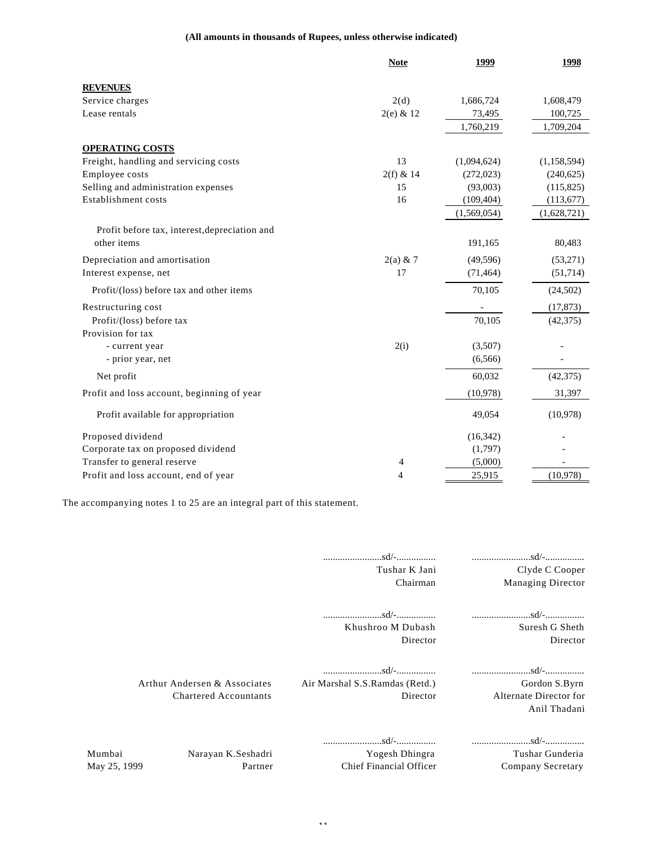#### **(All amounts in thousands of Rupees, unless otherwise indicated)**

|                                               | <b>Note</b> | 1999        | 1998        |
|-----------------------------------------------|-------------|-------------|-------------|
| <b>REVENUES</b>                               |             |             |             |
| Service charges                               | 2(d)        | 1,686,724   | 1,608,479   |
| Lease rentals                                 | $2(e)$ & 12 | 73,495      | 100,725     |
|                                               |             | 1,760,219   | 1,709,204   |
| <b>OPERATING COSTS</b>                        |             |             |             |
| Freight, handling and servicing costs         | 13          | (1,094,624) | (1,158,594) |
| Employee costs                                | $2(f)$ & 14 | (272, 023)  | (240, 625)  |
| Selling and administration expenses           | 15          | (93,003)    | (115,825)   |
| Establishment costs                           | 16          | (109, 404)  | (113, 677)  |
|                                               |             | (1,569,054) | (1,628,721) |
| Profit before tax, interest, depreciation and |             |             |             |
| other items                                   |             | 191,165     | 80,483      |
| Depreciation and amortisation                 | $2(a) \& 7$ | (49, 596)   | (53,271)    |
| Interest expense, net                         | 17          | (71, 464)   | (51, 714)   |
| Profit/(loss) before tax and other items      |             | 70,105      | (24,502)    |
| Restructuring cost                            |             |             | (17, 873)   |
| Profit/(loss) before tax                      |             | 70,105      | (42, 375)   |
| Provision for tax                             |             |             |             |
| - current year                                | 2(i)        | (3,507)     |             |
| - prior year, net                             |             | (6, 566)    |             |
| Net profit                                    |             | 60,032      | (42, 375)   |
| Profit and loss account, beginning of year    |             | (10,978)    | 31,397      |
| Profit available for appropriation            |             | 49,054      | (10,978)    |
| Proposed dividend                             |             | (16, 342)   |             |
| Corporate tax on proposed dividend            |             | (1,797)     |             |
| Transfer to general reserve                   | 4           | (5,000)     |             |
| Profit and loss account, end of year          | 4           | 25,915      | (10,978)    |

The accompanying notes 1 to 25 are an integral part of this statement.

| Clyde C Cooper<br>Managing Director                     | Tushar K Jani<br>Chairman                                                                                                                                                         |                                                              |                        |
|---------------------------------------------------------|-----------------------------------------------------------------------------------------------------------------------------------------------------------------------------------|--------------------------------------------------------------|------------------------|
| Suresh G Sheth<br>Director                              | Khushroo M Dubash<br>Director                                                                                                                                                     |                                                              |                        |
| Gordon S.Byrn<br>Alternate Director for<br>Anil Thadani | $\dots\dots\dots\dots\dots\dots\ldots$ sd/- $\dots\dots\dots\dots\dots\dots\dots\dots\dots\dots\dots\dots\ldots\ldots\ldots\ldots$<br>Air Marshal S.S. Ramdas (Retd.)<br>Director | Arthur Andersen & Associates<br><b>Chartered Accountants</b> |                        |
| Tushar Gunderia<br>Company Secretary                    | Yogesh Dhingra<br>Chief Financial Officer                                                                                                                                         | Narayan K.Seshadri<br>Partner                                | Mumbai<br>May 25, 1999 |

- 11-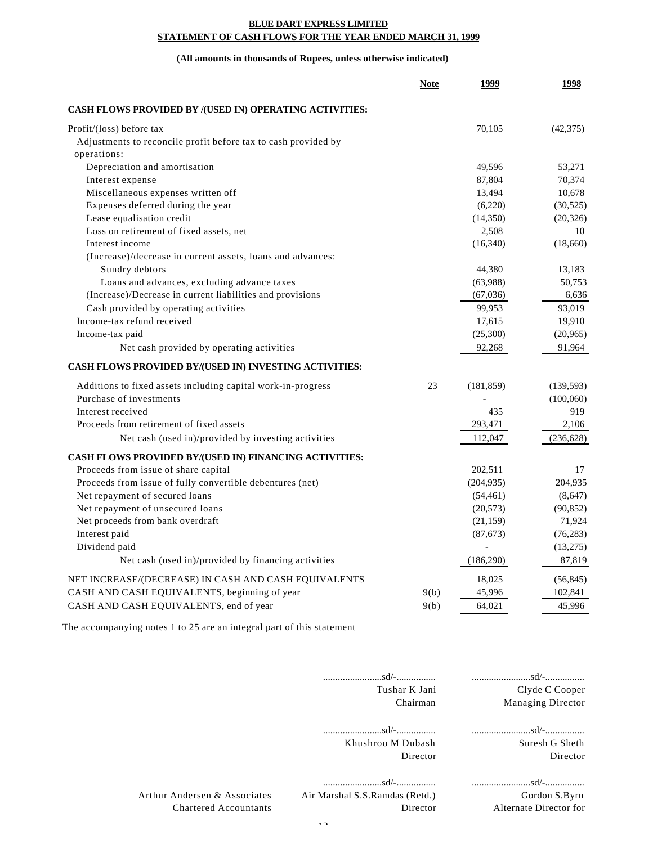#### **BLUE DART EXPRESS LIMITED STATEMENT OF CASH FLOWS FOR THE YEAR ENDED MARCH 31, 1999**

#### **(All amounts in thousands of Rupees, unless otherwise indicated)**

|                                                                | <b>Note</b> | 1999                     | 1998       |
|----------------------------------------------------------------|-------------|--------------------------|------------|
| <b>CASH FLOWS PROVIDED BY /(USED IN) OPERATING ACTIVITIES:</b> |             |                          |            |
| Profit/(loss) before tax                                       |             | 70,105                   | (42,375)   |
| Adjustments to reconcile profit before tax to cash provided by |             |                          |            |
| operations:                                                    |             |                          |            |
| Depreciation and amortisation                                  |             | 49,596                   | 53.271     |
| Interest expense                                               |             | 87,804                   | 70,374     |
| Miscellaneous expenses written off                             |             | 13,494                   | 10,678     |
| Expenses deferred during the year                              |             | (6,220)                  | (30, 525)  |
| Lease equalisation credit                                      |             | (14,350)                 | (20, 326)  |
| Loss on retirement of fixed assets, net                        |             | 2,508                    | 10         |
| Interest income                                                |             | (16,340)                 | (18,660)   |
| (Increase)/decrease in current assets, loans and advances:     |             |                          |            |
| Sundry debtors                                                 |             | 44,380                   | 13,183     |
| Loans and advances, excluding advance taxes                    |             | (63,988)                 | 50,753     |
| (Increase)/Decrease in current liabilities and provisions      |             | (67,036)                 | 6,636      |
| Cash provided by operating activities                          |             | 99,953                   | 93,019     |
| Income-tax refund received                                     |             | 17,615                   | 19,910     |
| Income-tax paid                                                |             | (25,300)                 | (20, 965)  |
| Net cash provided by operating activities                      |             | 92,268                   | 91,964     |
| CASH FLOWS PROVIDED BY/(USED IN) INVESTING ACTIVITIES:         |             |                          |            |
| Additions to fixed assets including capital work-in-progress   | 23          | (181, 859)               | (139, 593) |
| Purchase of investments                                        |             |                          | (100,060)  |
| Interest received                                              |             | 435                      | 919        |
| Proceeds from retirement of fixed assets                       |             | 293,471                  | 2,106      |
| Net cash (used in)/provided by investing activities            |             | 112,047                  | (236, 628) |
| CASH FLOWS PROVIDED BY/(USED IN) FINANCING ACTIVITIES:         |             |                          |            |
| Proceeds from issue of share capital                           |             | 202,511                  | 17         |
| Proceeds from issue of fully convertible debentures (net)      |             | (204, 935)               | 204,935    |
| Net repayment of secured loans                                 |             | (54, 461)                | (8,647)    |
| Net repayment of unsecured loans                               |             | (20, 573)                | (90, 852)  |
| Net proceeds from bank overdraft                               |             | (21, 159)                | 71,924     |
| Interest paid                                                  |             | (87, 673)                | (76, 283)  |
| Dividend paid                                                  |             | $\overline{\phantom{a}}$ | (13,275)   |
| Net cash (used in)/provided by financing activities            |             | (186,290)                | 87,819     |
| NET INCREASE/(DECREASE) IN CASH AND CASH EQUIVALENTS           |             | 18,025                   | (56, 845)  |
| CASH AND CASH EQUIVALENTS, beginning of year                   | 9(b)        | 45,996                   | 102,841    |
| CASH AND CASH EQUIVALENTS, end of year                         | 9(b)        | 64,021                   | 45,996     |

The accompanying notes 1 to 25 are an integral part of this statement

|                                                              | Tushar K Jani<br>Chairman                  | Clyde C Cooper<br><b>Managing Director</b> |
|--------------------------------------------------------------|--------------------------------------------|--------------------------------------------|
|                                                              | Khushroo M Dubash<br>Director              | Suresh G Sheth<br>Director                 |
| Arthur Andersen & Associates<br><b>Chartered Accountants</b> | Air Marshal S.S.Ramdas (Retd.)<br>Director | Gordon S.Byrn<br>Alternate Director for    |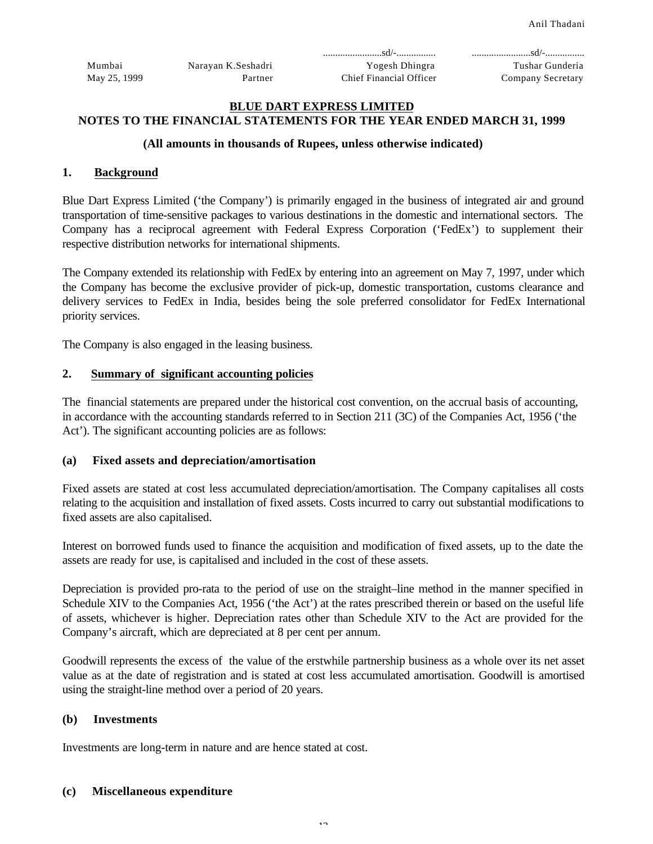|              |                    | $\ldots \ldots \ldots \ldots \ldots \ldots \ldots$ |                   |
|--------------|--------------------|----------------------------------------------------|-------------------|
| Mumbai       | Naravan K.Seshadri | Yogesh Dhingra                                     | Tushar Gunderia   |
| May 25, 1999 | Partner            | Chief Financial Officer                            | Company Secretary |

#### **BLUE DART EXPRESS LIMITED NOTES TO THE FINANCIAL STATEMENTS FOR THE YEAR ENDED MARCH 31, 1999**

#### **(All amounts in thousands of Rupees, unless otherwise indicated)**

#### **1. Background**

Blue Dart Express Limited ('the Company') is primarily engaged in the business of integrated air and ground transportation of time-sensitive packages to various destinations in the domestic and international sectors. The Company has a reciprocal agreement with Federal Express Corporation ('FedEx') to supplement their respective distribution networks for international shipments.

The Company extended its relationship with FedEx by entering into an agreement on May 7, 1997, under which the Company has become the exclusive provider of pick-up, domestic transportation, customs clearance and delivery services to FedEx in India, besides being the sole preferred consolidator for FedEx International priority services.

The Company is also engaged in the leasing business.

#### **2. Summary of significant accounting policies**

The financial statements are prepared under the historical cost convention, on the accrual basis of accounting, in accordance with the accounting standards referred to in Section 211 (3C) of the Companies Act, 1956 ('the Act'). The significant accounting policies are as follows:

#### **(a) Fixed assets and depreciation/amortisation**

Fixed assets are stated at cost less accumulated depreciation/amortisation. The Company capitalises all costs relating to the acquisition and installation of fixed assets. Costs incurred to carry out substantial modifications to fixed assets are also capitalised.

Interest on borrowed funds used to finance the acquisition and modification of fixed assets, up to the date the assets are ready for use, is capitalised and included in the cost of these assets.

Depreciation is provided pro-rata to the period of use on the straight–line method in the manner specified in Schedule XIV to the Companies Act, 1956 ('the Act') at the rates prescribed therein or based on the useful life of assets, whichever is higher. Depreciation rates other than Schedule XIV to the Act are provided for the Company's aircraft, which are depreciated at 8 per cent per annum.

Goodwill represents the excess of the value of the erstwhile partnership business as a whole over its net asset value as at the date of registration and is stated at cost less accumulated amortisation. Goodwill is amortised using the straight-line method over a period of 20 years.

#### **(b) Investments**

Investments are long-term in nature and are hence stated at cost.

#### **(c) Miscellaneous expenditure**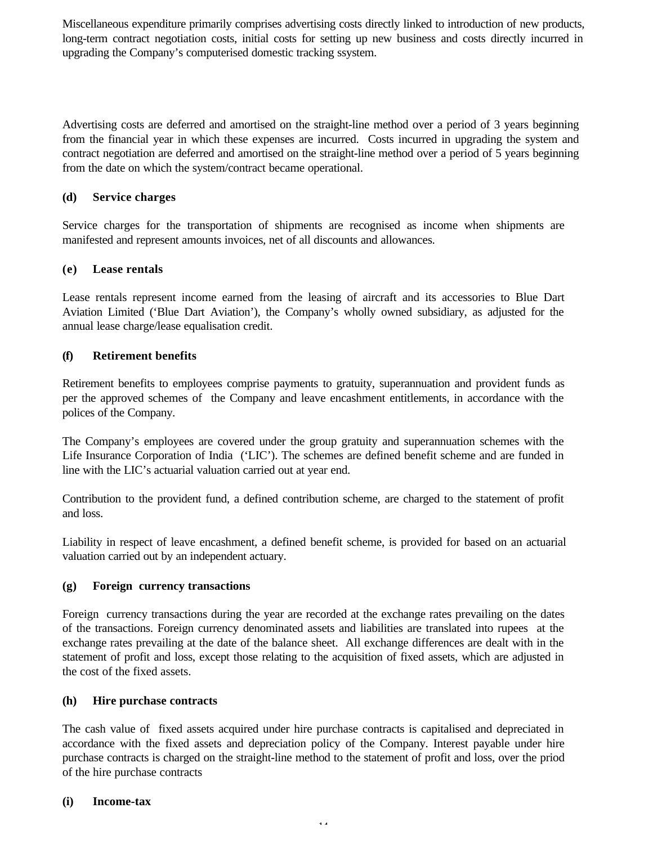Miscellaneous expenditure primarily comprises advertising costs directly linked to introduction of new products, long-term contract negotiation costs, initial costs for setting up new business and costs directly incurred in upgrading the Company's computerised domestic tracking ssystem.

Advertising costs are deferred and amortised on the straight-line method over a period of 3 years beginning from the financial year in which these expenses are incurred. Costs incurred in upgrading the system and contract negotiation are deferred and amortised on the straight-line method over a period of 5 years beginning from the date on which the system/contract became operational.

### **(d) Service charges**

Service charges for the transportation of shipments are recognised as income when shipments are manifested and represent amounts invoices, net of all discounts and allowances.

### **(e) Lease rentals**

Lease rentals represent income earned from the leasing of aircraft and its accessories to Blue Dart Aviation Limited ('Blue Dart Aviation'), the Company's wholly owned subsidiary, as adjusted for the annual lease charge/lease equalisation credit.

### **(f) Retirement benefits**

Retirement benefits to employees comprise payments to gratuity, superannuation and provident funds as per the approved schemes of the Company and leave encashment entitlements, in accordance with the polices of the Company.

The Company's employees are covered under the group gratuity and superannuation schemes with the Life Insurance Corporation of India ('LIC'). The schemes are defined benefit scheme and are funded in line with the LIC's actuarial valuation carried out at year end.

Contribution to the provident fund, a defined contribution scheme, are charged to the statement of profit and loss.

Liability in respect of leave encashment, a defined benefit scheme, is provided for based on an actuarial valuation carried out by an independent actuary.

### **(g) Foreign currency transactions**

Foreign currency transactions during the year are recorded at the exchange rates prevailing on the dates of the transactions. Foreign currency denominated assets and liabilities are translated into rupees at the exchange rates prevailing at the date of the balance sheet. All exchange differences are dealt with in the statement of profit and loss, except those relating to the acquisition of fixed assets, which are adjusted in the cost of the fixed assets.

### **(h) Hire purchase contracts**

The cash value of fixed assets acquired under hire purchase contracts is capitalised and depreciated in accordance with the fixed assets and depreciation policy of the Company. Interest payable under hire purchase contracts is charged on the straight-line method to the statement of profit and loss, over the priod of the hire purchase contracts

### **(i) Income-tax**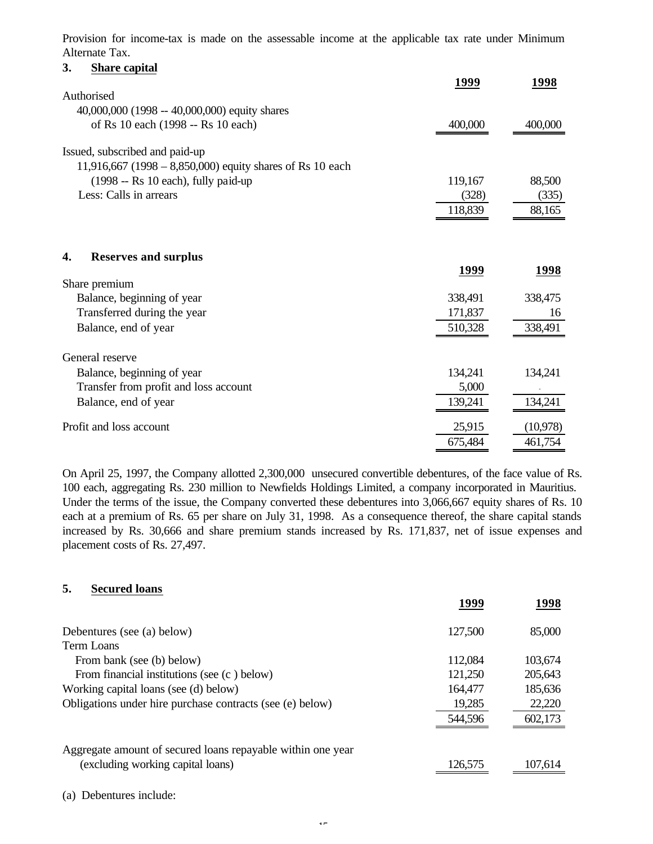Provision for income-tax is made on the assessable income at the applicable tax rate under Minimum Alternate Tax.

| 1998     |
|----------|
|          |
|          |
| 400,000  |
|          |
|          |
| 88,500   |
| (335)    |
| 88,165   |
|          |
|          |
|          |
| 1998     |
|          |
| 338,475  |
| 16       |
| 338,491  |
|          |
|          |
| 134,241  |
|          |
|          |
| 134,241  |
| (10,978) |
|          |

On April 25, 1997, the Company allotted 2,300,000 unsecured convertible debentures, of the face value of Rs. 100 each, aggregating Rs. 230 million to Newfields Holdings Limited, a company incorporated in Mauritius. Under the terms of the issue, the Company converted these debentures into 3,066,667 equity shares of Rs. 10 each at a premium of Rs. 65 per share on July 31, 1998. As a consequence thereof, the share capital stands increased by Rs. 30,666 and share premium stands increased by Rs. 171,837, net of issue expenses and placement costs of Rs. 27,497.

### **5. Secured loans**

|                                                             | 1999    | 1998    |
|-------------------------------------------------------------|---------|---------|
| Debentures (see (a) below)                                  | 127,500 | 85,000  |
| Term Loans                                                  |         |         |
| From bank (see (b) below)                                   | 112,084 | 103,674 |
| From financial institutions (see (c) below)                 | 121,250 | 205,643 |
| Working capital loans (see (d) below)                       | 164,477 | 185,636 |
| Obligations under hire purchase contracts (see (e) below)   | 19,285  | 22,220  |
|                                                             | 544,596 | 602,173 |
| Aggregate amount of secured loans repayable within one year |         |         |
| (excluding working capital loans)                           | 126,575 | 107,614 |

(a) Debentures include: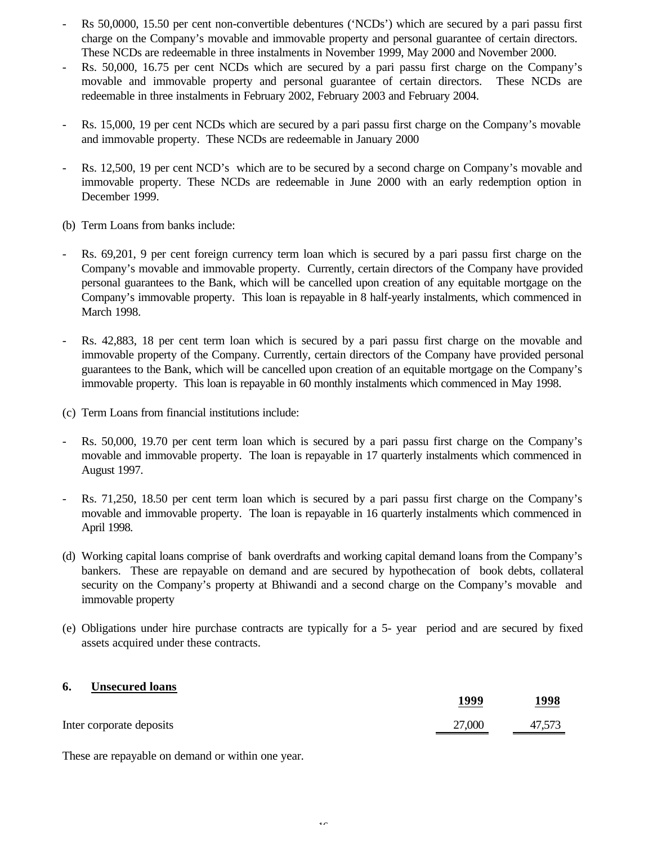- Rs 50,0000, 15.50 per cent non-convertible debentures ('NCDs') which are secured by a pari passu first charge on the Company's movable and immovable property and personal guarantee of certain directors. These NCDs are redeemable in three instalments in November 1999, May 2000 and November 2000.
- Rs. 50,000, 16.75 per cent NCDs which are secured by a pari passu first charge on the Company's movable and immovable property and personal guarantee of certain directors. These NCDs are redeemable in three instalments in February 2002, February 2003 and February 2004.
- Rs. 15,000, 19 per cent NCDs which are secured by a pari passu first charge on the Company's movable and immovable property. These NCDs are redeemable in January 2000
- Rs. 12,500, 19 per cent NCD's which are to be secured by a second charge on Company's movable and immovable property. These NCDs are redeemable in June 2000 with an early redemption option in December 1999.
- (b) Term Loans from banks include:
- Rs. 69,201, 9 per cent foreign currency term loan which is secured by a pari passu first charge on the Company's movable and immovable property. Currently, certain directors of the Company have provided personal guarantees to the Bank, which will be cancelled upon creation of any equitable mortgage on the Company's immovable property. This loan is repayable in 8 half-yearly instalments, which commenced in March 1998.
- Rs. 42,883, 18 per cent term loan which is secured by a pari passu first charge on the movable and immovable property of the Company. Currently, certain directors of the Company have provided personal guarantees to the Bank, which will be cancelled upon creation of an equitable mortgage on the Company's immovable property. This loan is repayable in 60 monthly instalments which commenced in May 1998.
- (c) Term Loans from financial institutions include:
- Rs. 50,000, 19.70 per cent term loan which is secured by a pari passu first charge on the Company's movable and immovable property. The loan is repayable in 17 quarterly instalments which commenced in August 1997.
- Rs. 71,250, 18.50 per cent term loan which is secured by a pari passu first charge on the Company's movable and immovable property. The loan is repayable in 16 quarterly instalments which commenced in April 1998.
- (d) Working capital loans comprise of bank overdrafts and working capital demand loans from the Company's bankers. These are repayable on demand and are secured by hypothecation of book debts, collateral security on the Company's property at Bhiwandi and a second charge on the Company's movable and immovable property
- (e) Obligations under hire purchase contracts are typically for a 5- year period and are secured by fixed assets acquired under these contracts.

### **6. Unsecured loans**

|                          | 1999   | 1998   |
|--------------------------|--------|--------|
| Inter corporate deposits | 27,000 | 47,573 |

These are repayable on demand or within one year.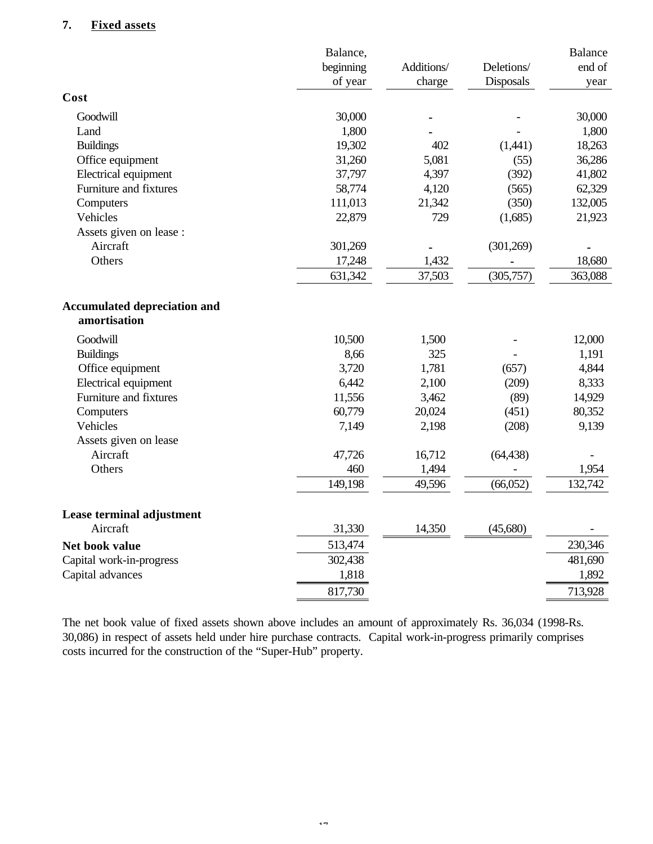## **7. Fixed assets**

|                                                     | Balance,  |            |            | <b>Balance</b> |
|-----------------------------------------------------|-----------|------------|------------|----------------|
|                                                     | beginning | Additions/ | Deletions/ | end of         |
|                                                     | of year   | charge     | Disposals  | year           |
| Cost                                                |           |            |            |                |
| Goodwill                                            | 30,000    |            |            | 30,000         |
| Land                                                | 1,800     |            |            | 1,800          |
| <b>Buildings</b>                                    | 19,302    | 402        | (1,441)    | 18,263         |
| Office equipment                                    | 31,260    | 5,081      | (55)       | 36,286         |
| Electrical equipment                                | 37,797    | 4,397      | (392)      | 41,802         |
| Furniture and fixtures                              | 58,774    | 4,120      | (565)      | 62,329         |
| Computers                                           | 111,013   | 21,342     | (350)      | 132,005        |
| Vehicles                                            | 22,879    | 729        | (1,685)    | 21,923         |
| Assets given on lease :                             |           |            |            |                |
| Aircraft                                            | 301,269   |            | (301,269)  |                |
| Others                                              | 17,248    | 1,432      |            | 18,680         |
|                                                     | 631,342   | 37,503     | (305, 757) | 363,088        |
| <b>Accumulated depreciation and</b><br>amortisation |           |            |            |                |
| Goodwill                                            | 10,500    | 1,500      |            | 12,000         |
| <b>Buildings</b>                                    | 8,66      | 325        |            | 1,191          |
| Office equipment                                    | 3,720     | 1,781      | (657)      | 4,844          |
| Electrical equipment                                | 6,442     | 2,100      | (209)      | 8,333          |
| Furniture and fixtures                              | 11,556    | 3,462      | (89)       | 14,929         |
| Computers                                           | 60,779    | 20,024     | (451)      | 80,352         |
| Vehicles                                            | 7,149     | 2,198      | (208)      | 9,139          |
| Assets given on lease                               |           |            |            |                |
| Aircraft                                            | 47,726    | 16,712     | (64, 438)  |                |
| Others                                              | 460       | 1,494      |            | 1,954          |
|                                                     | 149,198   | 49,596     | (66,052)   | 132,742        |
| Lease terminal adjustment                           |           |            |            |                |
| Aircraft                                            | 31,330    | 14,350     | (45,680)   |                |
| Net book value                                      | 513,474   |            |            | 230,346        |
| Capital work-in-progress                            | 302,438   |            |            | 481,690        |
| Capital advances                                    | 1,818     |            |            | 1,892          |
|                                                     | 817,730   |            |            | 713,928        |

The net book value of fixed assets shown above includes an amount of approximately Rs. 36,034 (1998-Rs. 30,086) in respect of assets held under hire purchase contracts. Capital work-in-progress primarily comprises costs incurred for the construction of the "Super-Hub" property.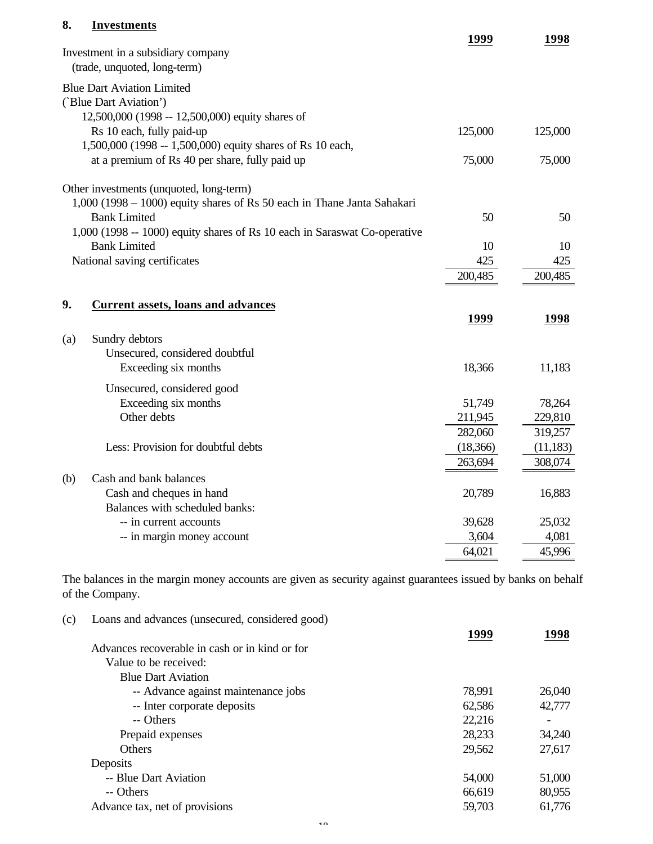## **8. Investments**

|                                                                           | 1999      | 1998      |
|---------------------------------------------------------------------------|-----------|-----------|
| Investment in a subsidiary company                                        |           |           |
| (trade, unquoted, long-term)                                              |           |           |
| <b>Blue Dart Aviation Limited</b>                                         |           |           |
| ('Blue Dart Aviation')                                                    |           |           |
| 12,500,000 (1998 -- 12,500,000) equity shares of                          |           |           |
| Rs 10 each, fully paid-up                                                 | 125,000   | 125,000   |
| 1,500,000 (1998 -- 1,500,000) equity shares of Rs 10 each,                |           |           |
| at a premium of Rs 40 per share, fully paid up                            | 75,000    | 75,000    |
| Other investments (unquoted, long-term)                                   |           |           |
| 1,000 (1998 - 1000) equity shares of Rs 50 each in Thane Janta Sahakari   |           |           |
| <b>Bank Limited</b>                                                       | 50        | 50        |
| 1,000 (1998 -- 1000) equity shares of Rs 10 each in Saraswat Co-operative |           |           |
| <b>Bank Limited</b>                                                       | 10        | 10        |
| National saving certificates                                              | 425       | 425       |
|                                                                           | 200,485   | 200,485   |
| 9.<br><b>Current assets, loans and advances</b>                           |           |           |
|                                                                           | 1999      | 1998      |
| Sundry debtors<br>(a)                                                     |           |           |
| Unsecured, considered doubtful                                            |           |           |
| Exceeding six months                                                      | 18,366    | 11,183    |
| Unsecured, considered good                                                |           |           |
| Exceeding six months                                                      | 51,749    | 78,264    |
| Other debts                                                               | 211,945   | 229,810   |
|                                                                           | 282,060   | 319,257   |
| Less: Provision for doubtful debts                                        | (18, 366) | (11, 183) |
|                                                                           | 263,694   | 308,074   |
| Cash and bank balances<br>(b)                                             |           |           |
| Cash and cheques in hand                                                  | 20,789    | 16,883    |
| Balances with scheduled banks:                                            |           |           |
| -- in current accounts                                                    | 39,628    | 25,032    |
| -- in margin money account                                                | 3,604     | 4,081     |
|                                                                           | 64,021    | 45,996    |

The balances in the margin money accounts are given as security against guarantees issued by banks on behalf of the Company.

| (c) | Loans and advances (unsecured, considered good) | 1999   | 1998   |
|-----|-------------------------------------------------|--------|--------|
|     | Advances recoverable in cash or in kind or for  |        |        |
|     | Value to be received:                           |        |        |
|     | <b>Blue Dart Aviation</b>                       |        |        |
|     | -- Advance against maintenance jobs             | 78,991 | 26,040 |
|     | -- Inter corporate deposits                     | 62,586 | 42,777 |
|     | -- Others                                       | 22,216 |        |
|     | Prepaid expenses                                | 28,233 | 34,240 |
|     | Others                                          | 29,562 | 27,617 |
|     | Deposits                                        |        |        |
|     | -- Blue Dart Aviation                           | 54,000 | 51,000 |
|     | -- Others                                       | 66,619 | 80,955 |
|     | Advance tax, net of provisions                  | 59,703 | 61,776 |
|     |                                                 |        |        |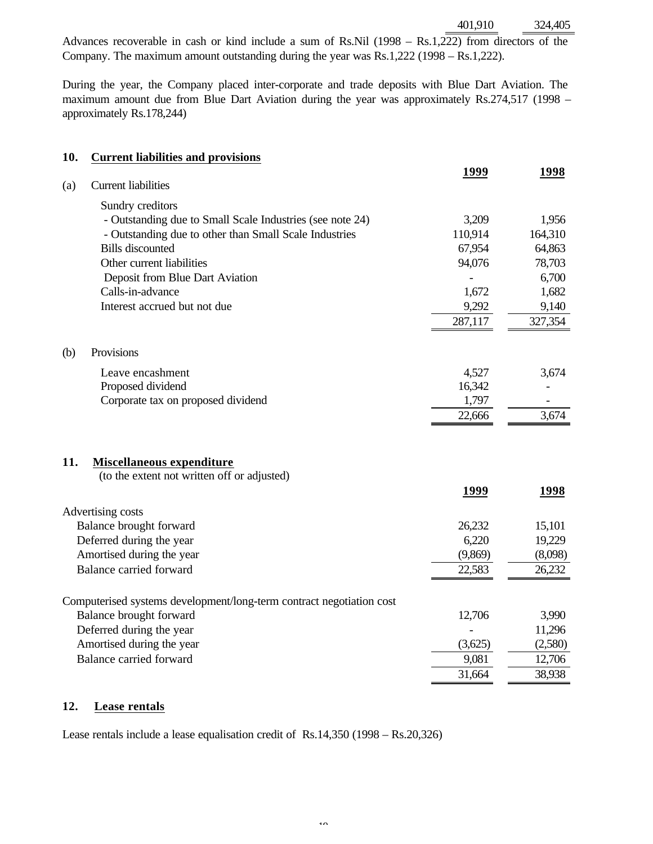401,910 324,405

Advances recoverable in cash or kind include a sum of Rs.Nil (1998 – Rs.1,222) from directors of the Company. The maximum amount outstanding during the year was Rs.1,222 (1998 – Rs.1,222).

During the year, the Company placed inter-corporate and trade deposits with Blue Dart Aviation. The maximum amount due from Blue Dart Aviation during the year was approximately Rs.274,517 (1998 – approximately Rs.178,244)

| 10. | <b>Current liabilities and provisions</b>                            |         |         |
|-----|----------------------------------------------------------------------|---------|---------|
|     |                                                                      | 1999    | 1998    |
| (a) | <b>Current liabilities</b>                                           |         |         |
|     | Sundry creditors                                                     |         |         |
|     | - Outstanding due to Small Scale Industries (see note 24)            | 3,209   | 1,956   |
|     | - Outstanding due to other than Small Scale Industries               | 110,914 | 164,310 |
|     | <b>Bills</b> discounted                                              | 67,954  | 64,863  |
|     | Other current liabilities                                            | 94,076  | 78,703  |
|     | Deposit from Blue Dart Aviation                                      |         | 6,700   |
|     | Calls-in-advance                                                     | 1,672   | 1,682   |
|     | Interest accrued but not due                                         | 9,292   | 9,140   |
|     |                                                                      | 287,117 | 327,354 |
| (b) | Provisions                                                           |         |         |
|     | Leave encashment                                                     | 4,527   | 3,674   |
|     | Proposed dividend                                                    | 16,342  |         |
|     | Corporate tax on proposed dividend                                   | 1,797   |         |
|     |                                                                      | 22,666  | 3,674   |
| 11. | <b>Miscellaneous expenditure</b>                                     |         |         |
|     | (to the extent not written off or adjusted)                          |         |         |
|     |                                                                      | 1999    | 1998    |
|     | Advertising costs                                                    |         |         |
|     | Balance brought forward                                              | 26,232  | 15,101  |
|     | Deferred during the year                                             | 6,220   | 19,229  |
|     | Amortised during the year                                            | (9,869) | (8,098) |
|     | Balance carried forward                                              | 22,583  | 26,232  |
|     | Computerised systems development/long-term contract negotiation cost |         |         |
|     | Balance brought forward                                              | 12,706  | 3,990   |
|     | Deferred during the year                                             |         | 11,296  |
|     | Amortised during the year                                            | (3,625) | (2,580) |
|     | Balance carried forward                                              | 9,081   | 12,706  |
|     |                                                                      | 31,664  | 38,938  |

## **12. Lease rentals**

Lease rentals include a lease equalisation credit of Rs.14,350 (1998 – Rs.20,326)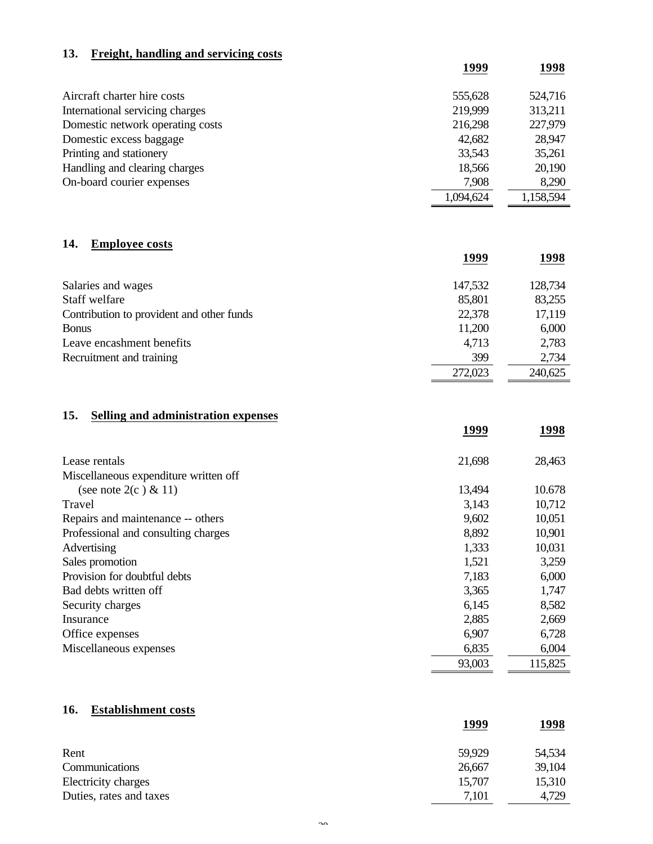## **13. Freight, handling and servicing costs**

|                                  | 1999      | 1998      |
|----------------------------------|-----------|-----------|
| Aircraft charter hire costs      | 555,628   | 524,716   |
| International servicing charges  | 219,999   | 313,211   |
| Domestic network operating costs | 216,298   | 227,979   |
| Domestic excess baggage          | 42,682    | 28,947    |
| Printing and stationery          | 33,543    | 35,261    |
| Handling and clearing charges    | 18,566    | 20,190    |
| On-board courier expenses        | 7,908     | 8,290     |
|                                  | 1,094,624 | 1,158,594 |

## **14. Employee costs**

|                                           | 1999    | 1998    |
|-------------------------------------------|---------|---------|
| Salaries and wages                        | 147,532 | 128,734 |
| Staff welfare                             | 85,801  | 83,255  |
| Contribution to provident and other funds | 22,378  | 17,119  |
| <b>Bonus</b>                              | 11,200  | 6,000   |
| Leave encashment benefits                 | 4,713   | 2,783   |
| Recruitment and training                  | 399     | 2,734   |
|                                           | 272,023 | 240,625 |

## **15. Selling and administration expenses**

|                                       | 1999   | 1998    |
|---------------------------------------|--------|---------|
|                                       |        |         |
| Lease rentals                         | 21,698 | 28,463  |
| Miscellaneous expenditure written off |        |         |
| (see note $2(c) \& 11$ )              | 13,494 | 10.678  |
| Travel                                | 3,143  | 10,712  |
| Repairs and maintenance -- others     | 9,602  | 10,051  |
| Professional and consulting charges   | 8,892  | 10,901  |
| Advertising                           | 1,333  | 10,031  |
| Sales promotion                       | 1,521  | 3,259   |
| Provision for doubtful debts          | 7,183  | 6,000   |
| Bad debts written off                 | 3,365  | 1,747   |
| Security charges                      | 6,145  | 8,582   |
| Insurance                             | 2,885  | 2,669   |
| Office expenses                       | 6,907  | 6,728   |
| Miscellaneous expenses                | 6,835  | 6,004   |
|                                       | 93,003 | 115,825 |

## **16. Establishment costs**

|                         | 1999   | 1998   |
|-------------------------|--------|--------|
| Rent                    | 59,929 | 54,534 |
| Communications          | 26,667 | 39,104 |
| Electricity charges     | 15,707 | 15,310 |
| Duties, rates and taxes | 7,101  | 4,729  |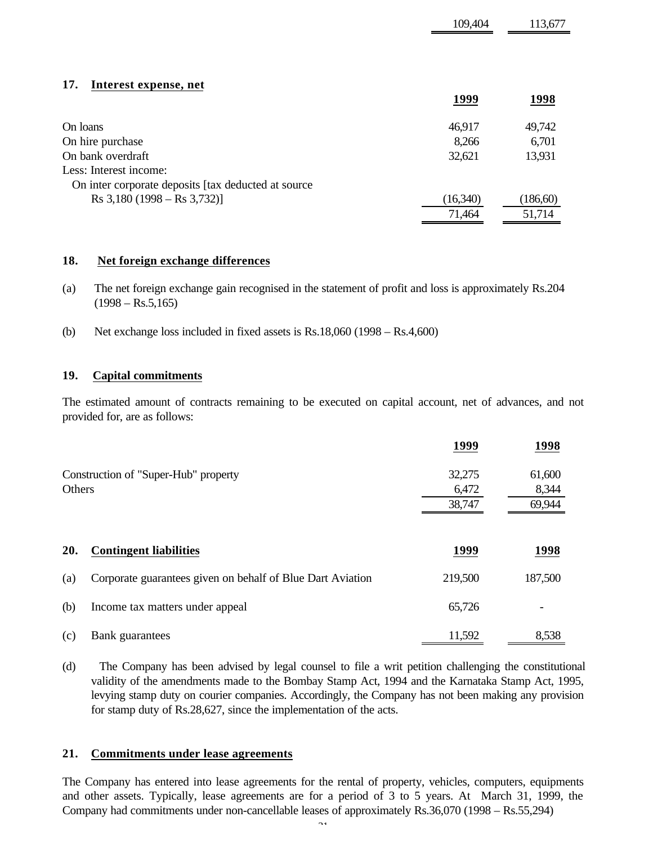| 17.<br>Interest expense, net                          | 1999     | 1998     |
|-------------------------------------------------------|----------|----------|
|                                                       |          |          |
| On loans                                              | 46,917   | 49,742   |
| On hire purchase                                      | 8,266    | 6,701    |
| On bank overdraft                                     | 32,621   | 13,931   |
| Less: Interest income:                                |          |          |
| On inter corporate deposits [tax deducted at source   |          |          |
| $\text{Rs } 3,180 \text{ } (1998 - \text{Rs } 3,732)$ | (16,340) | (186,60) |
|                                                       | 71,464   | 51,714   |

109,404 113,677

### **18. Net foreign exchange differences**

- (a) The net foreign exchange gain recognised in the statement of profit and loss is approximately Rs.204  $(1998 - Rs.5,165)$
- (b) Net exchange loss included in fixed assets is Rs.18,060 (1998 Rs.4,600)

### **19. Capital commitments**

The estimated amount of contracts remaining to be executed on capital account, net of advances, and not provided for, are as follows:

|        |                                                            | 1999    | 1998    |
|--------|------------------------------------------------------------|---------|---------|
|        | Construction of "Super-Hub" property                       | 32,275  | 61,600  |
| Others |                                                            | 6,472   | 8,344   |
|        |                                                            | 38,747  | 69,944  |
| 20.    | <b>Contingent liabilities</b>                              | 1999    | 1998    |
|        |                                                            |         |         |
| (a)    | Corporate guarantees given on behalf of Blue Dart Aviation | 219,500 | 187,500 |
| (b)    | Income tax matters under appeal                            | 65,726  |         |
| (c)    | Bank guarantees                                            | 11,592  | 8,538   |

(d) The Company has been advised by legal counsel to file a writ petition challenging the constitutional validity of the amendments made to the Bombay Stamp Act, 1994 and the Karnataka Stamp Act, 1995, levying stamp duty on courier companies. Accordingly, the Company has not been making any provision for stamp duty of Rs.28,627, since the implementation of the acts.

### **21. Commitments under lease agreements**

The Company has entered into lease agreements for the rental of property, vehicles, computers, equipments and other assets. Typically, lease agreements are for a period of 3 to 5 years. At March 31, 1999, the Company had commitments under non-cancellable leases of approximately Rs.36,070 (1998 – Rs.55,294)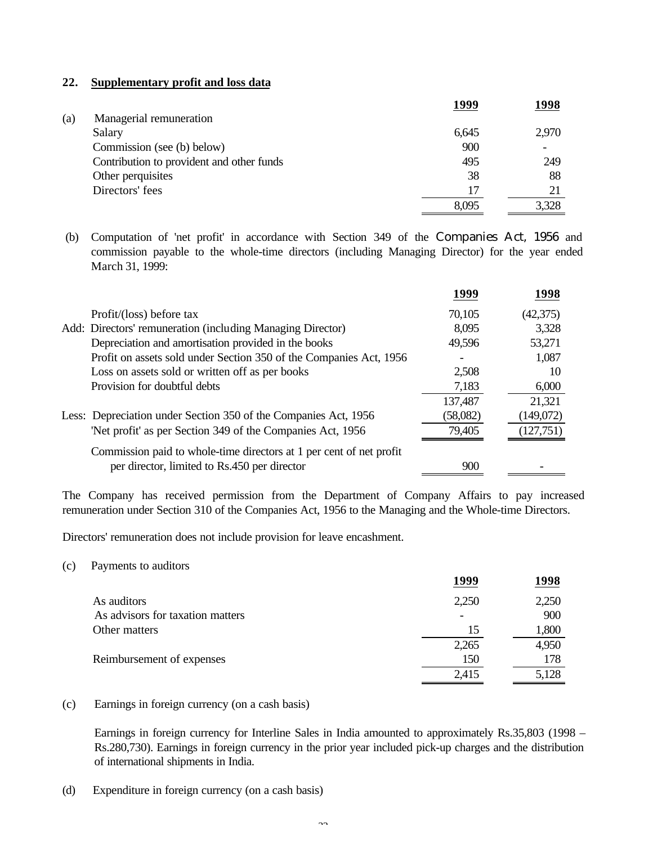### **22. Supplementary profit and loss data**

|                                           | 1999  | 1998  |
|-------------------------------------------|-------|-------|
| Managerial remuneration                   |       |       |
| Salary                                    | 6,645 | 2,970 |
| Commission (see (b) below)                | 900   |       |
| Contribution to provident and other funds | 495   | 249   |
| Other perquisites                         | 38    | 88    |
| Directors' fees                           | 17    | 21    |
|                                           | 8,095 | 3,328 |
|                                           |       |       |

 (b) Computation of 'net profit' in accordance with Section 349 of the Companies Act, 1956 and commission payable to the whole-time directors (including Managing Director) for the year ended March 31, 1999:

|                                                                     | 1999     | 1998      |
|---------------------------------------------------------------------|----------|-----------|
| Profit/(loss) before tax                                            | 70,105   | (42,375)  |
| Add: Directors' remuneration (including Managing Director)          | 8,095    | 3,328     |
| Depreciation and amortisation provided in the books                 | 49,596   | 53,271    |
| Profit on assets sold under Section 350 of the Companies Act, 1956  |          | 1,087     |
| Loss on assets sold or written off as per books                     | 2,508    | 10        |
| Provision for doubtful debts                                        | 7,183    | 6,000     |
|                                                                     | 137,487  | 21,321    |
| Less: Depreciation under Section 350 of the Companies Act, 1956     | (58,082) | (149,072) |
| 'Net profit' as per Section 349 of the Companies Act, 1956          | 79,405   | (127,751) |
| Commission paid to whole-time directors at 1 per cent of net profit |          |           |
| per director, limited to Rs.450 per director                        | 900      |           |

The Company has received permission from the Department of Company Affairs to pay increased remuneration under Section 310 of the Companies Act, 1956 to the Managing and the Whole-time Directors.

Directors' remuneration does not include provision for leave encashment.

(c) Payments to auditors

|                                  | 1999  | 1998  |
|----------------------------------|-------|-------|
| As auditors                      | 2,250 | 2,250 |
| As advisors for taxation matters |       | 900   |
| Other matters                    | 15    | 1,800 |
|                                  | 2,265 | 4,950 |
| Reimbursement of expenses        | 150   | 178   |
|                                  | 2,415 | 5,128 |
|                                  |       |       |

(c) Earnings in foreign currency (on a cash basis)

Earnings in foreign currency for Interline Sales in India amounted to approximately Rs.35,803 (1998 – Rs.280,730). Earnings in foreign currency in the prior year included pick-up charges and the distribution of international shipments in India.

(d) Expenditure in foreign currency (on a cash basis)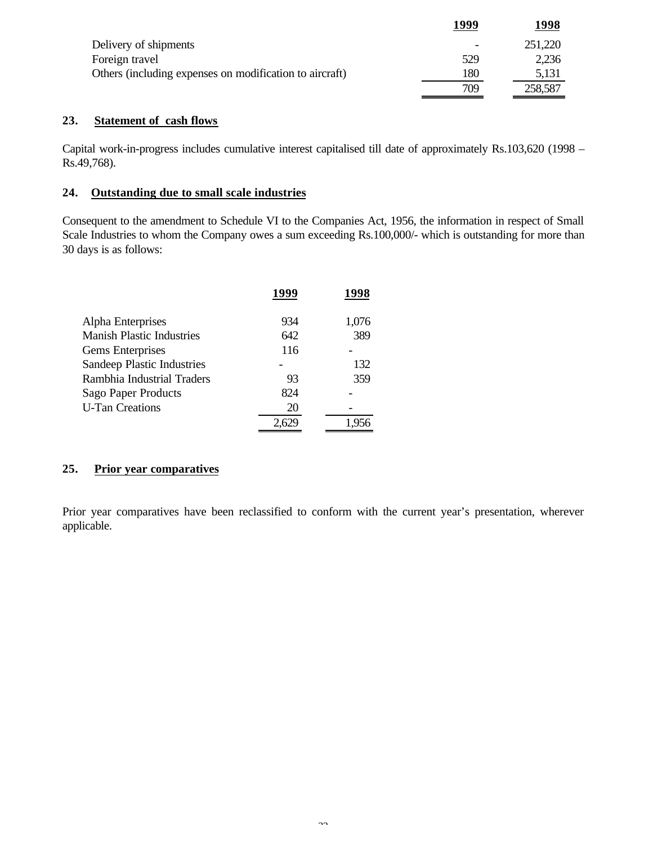|                                                         | 1999 | 1998    |
|---------------------------------------------------------|------|---------|
| Delivery of shipments                                   | -    | 251,220 |
| Foreign travel                                          | 529  | 2,236   |
| Others (including expenses on modification to aircraft) | l 80 | 5,131   |
|                                                         | 709  | 258,587 |

### **23. Statement of cash flows**

Capital work-in-progress includes cumulative interest capitalised till date of approximately Rs.103,620 (1998 – Rs.49,768).

### **24. Outstanding due to small scale industries**

Consequent to the amendment to Schedule VI to the Companies Act, 1956, the information in respect of Small Scale Industries to whom the Company owes a sum exceeding Rs.100,000/- which is outstanding for more than 30 days is as follows:

|                                  | 1999 | 1998  |
|----------------------------------|------|-------|
| Alpha Enterprises                | 934  | 1,076 |
| <b>Manish Plastic Industries</b> | 642  | 389   |
| Gems Enterprises                 | 116  |       |
| Sandeep Plastic Industries       |      | 132   |
| Rambhia Industrial Traders       | 93   | 359   |
| Sago Paper Products              | 824  |       |
| <b>U-Tan Creations</b>           | 20   |       |
|                                  |      |       |

## **25. Prior year comparatives**

Prior year comparatives have been reclassified to conform with the current year's presentation, wherever applicable.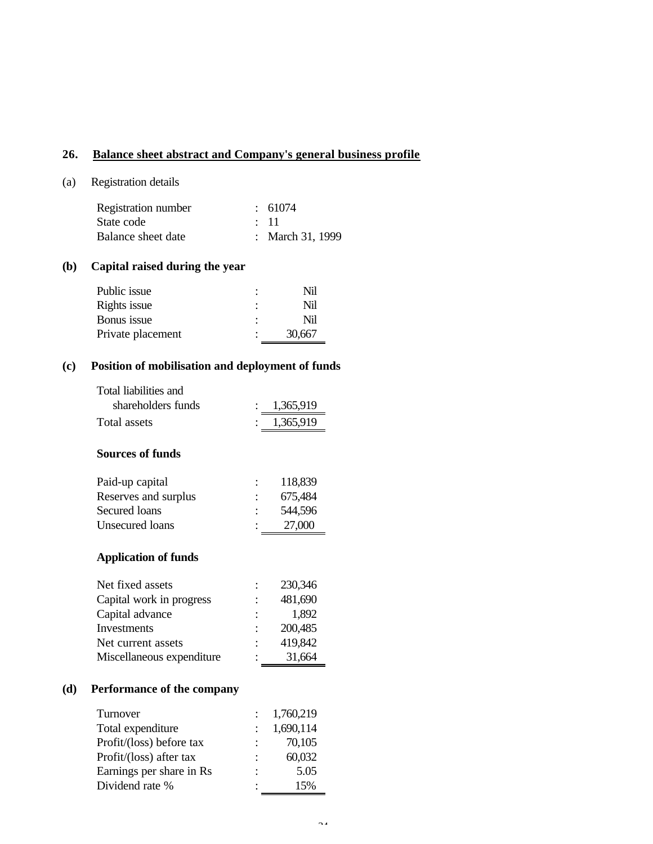## **26. Balance sheet abstract and Company's general business profile**

### (a) Registration details

| Registration number | $\div$ 61074     |
|---------------------|------------------|
| State code          | $\div$ 11        |
| Balance sheet date  | : March 31, 1999 |

## **(b) Capital raised during the year**

| Public issue      |   | Nil    |
|-------------------|---|--------|
| Rights issue      |   | Nil    |
| Bonus issue       | ٠ | Nil    |
| Private placement |   | 30,667 |

## **(c) Position of mobilisation and deployment of funds**

| Total liabilities and |             |
|-----------------------|-------------|
| shareholders funds    | : 1,365,919 |
| Total assets          | : 1,365,919 |

## **Sources of funds**

| Paid-up capital      | 118,839 |
|----------------------|---------|
| Reserves and surplus | 675,484 |
| Secured loans        | 544,596 |
| Unsecured loans      | 27,000  |
|                      |         |

## **Application of funds**

| Net fixed assets          | 230,346 |
|---------------------------|---------|
| Capital work in progress  | 481,690 |
| Capital advance           | 1,892   |
| Investments               | 200,485 |
| Net current assets        | 419,842 |
| Miscellaneous expenditure | 31,664  |

## **(d) Performance of the company**

| Turnover                 |                           | 1,760,219 |
|--------------------------|---------------------------|-----------|
| Total expenditure        |                           | 1,690,114 |
| Profit/(loss) before tax | $\mathbb{R}^{\mathbb{Z}}$ | 70,105    |
| Profit/(loss) after tax  |                           | 60,032    |
| Earnings per share in Rs | ÷                         | 5.05      |
| Dividend rate %          |                           | 15%       |